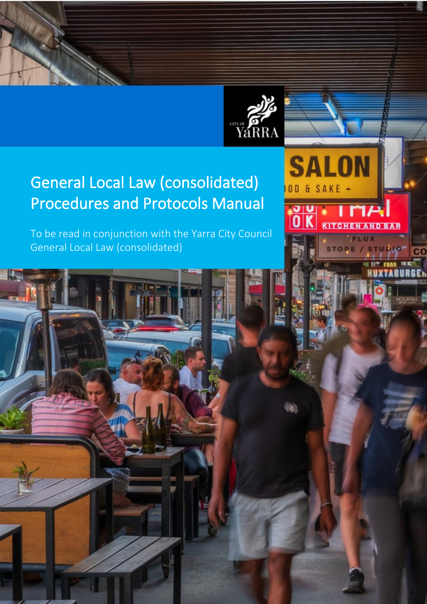

**SALON** 

& SAKE

 $0<sub>D</sub>$ 

# General Local Law (consolidated) Procedures and Protocols Manual

To be read in conjunction with the Yarra City Council General Local Law (consolidated)

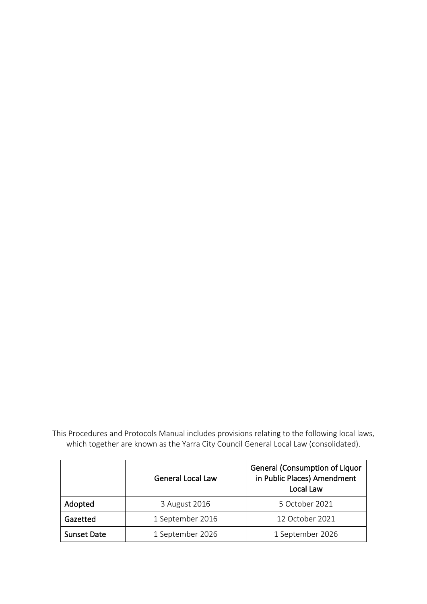This Procedures and Protocols Manual includes provisions relating to the following local laws, which together are known as the Yarra City Council General Local Law (consolidated).

|                    | <b>General Local Law</b> | <b>General (Consumption of Liquor</b><br>in Public Places) Amendment<br>Local Law |
|--------------------|--------------------------|-----------------------------------------------------------------------------------|
| Adopted            | 3 August 2016            | 5 October 2021                                                                    |
| Gazetted           | 1 September 2016         | 12 October 2021                                                                   |
| <b>Sunset Date</b> | 1 September 2026         | 1 September 2026                                                                  |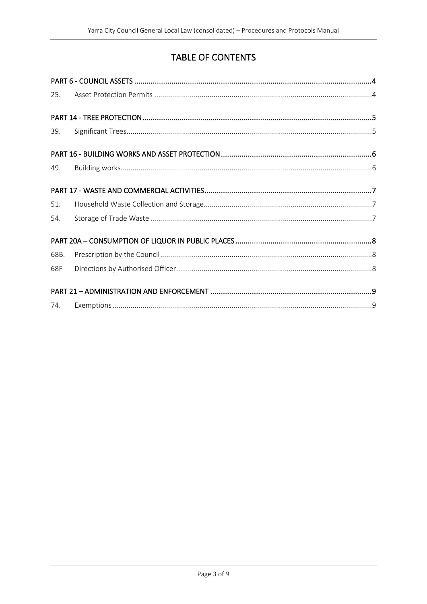# TABLE OF CONTENTS

| 25.  |  |  |  |
|------|--|--|--|
|      |  |  |  |
| 39.  |  |  |  |
|      |  |  |  |
| 49.  |  |  |  |
|      |  |  |  |
| 51.  |  |  |  |
| 54.  |  |  |  |
|      |  |  |  |
| 68B. |  |  |  |
| 68F  |  |  |  |
|      |  |  |  |
| 74.  |  |  |  |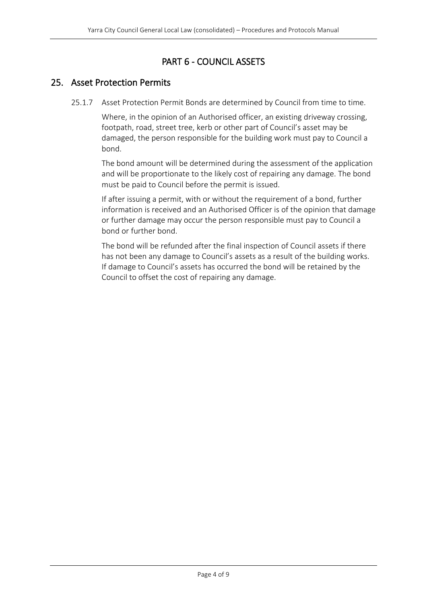# PART 6 - COUNCIL ASSETS

# <span id="page-3-1"></span><span id="page-3-0"></span>25. Asset Protection Permits

25.1.7 Asset Protection Permit Bonds are determined by Council from time to time.

Where, in the opinion of an Authorised officer, an existing driveway crossing, footpath, road, street tree, kerb or other part of Council's asset may be damaged, the person responsible for the building work must pay to Council a bond.

The bond amount will be determined during the assessment of the application and will be proportionate to the likely cost of repairing any damage. The bond must be paid to Council before the permit is issued.

If after issuing a permit, with or without the requirement of a bond, further information is received and an Authorised Officer is of the opinion that damage or further damage may occur the person responsible must pay to Council a bond or further bond.

The bond will be refunded after the final inspection of Council assets if there has not been any damage to Council's assets as a result of the building works. If damage to Council's assets has occurred the bond will be retained by the Council to offset the cost of repairing any damage.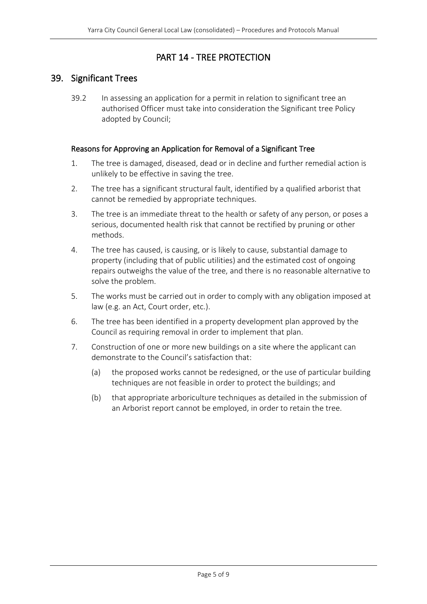# PART 14 - TREE PROTECTION

#### <span id="page-4-1"></span><span id="page-4-0"></span>39. Significant Trees

39.2 In assessing an application for a permit in relation to significant tree an authorised Officer must take into consideration the Significant tree Policy adopted by Council;

#### Reasons for Approving an Application for Removal of a Significant Tree

- 1. The tree is damaged, diseased, dead or in decline and further remedial action is unlikely to be effective in saving the tree.
- 2. The tree has a significant structural fault, identified by a qualified arborist that cannot be remedied by appropriate techniques.
- 3. The tree is an immediate threat to the health or safety of any person, or poses a serious, documented health risk that cannot be rectified by pruning or other methods.
- 4. The tree has caused, is causing, or is likely to cause, substantial damage to property (including that of public utilities) and the estimated cost of ongoing repairs outweighs the value of the tree, and there is no reasonable alternative to solve the problem.
- 5. The works must be carried out in order to comply with any obligation imposed at law (e.g. an Act, Court order, etc.).
- 6. The tree has been identified in a property development plan approved by the Council as requiring removal in order to implement that plan.
- 7. Construction of one or more new buildings on a site where the applicant can demonstrate to the Council's satisfaction that:
	- (a) the proposed works cannot be redesigned, or the use of particular building techniques are not feasible in order to protect the buildings; and
	- (b) that appropriate arboriculture techniques as detailed in the submission of an Arborist report cannot be employed, in order to retain the tree.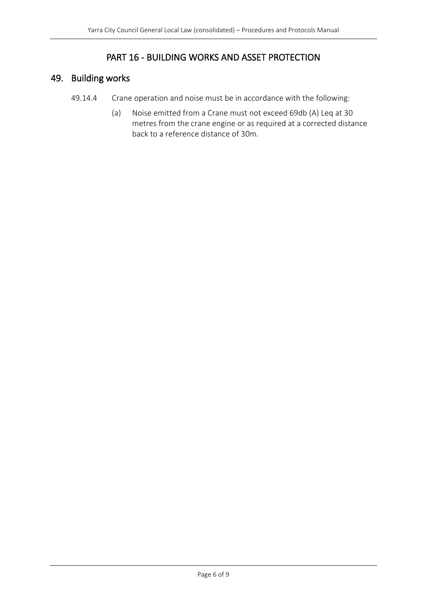### PART 16 - BUILDING WORKS AND ASSET PROTECTION

# <span id="page-5-1"></span><span id="page-5-0"></span>49. Building works

- 49.14.4 Crane operation and noise must be in accordance with the following:
	- (a) Noise emitted from a Crane must not exceed 69db (A) Leq at 30 metres from the crane engine or as required at a corrected distance back to a reference distance of 30m.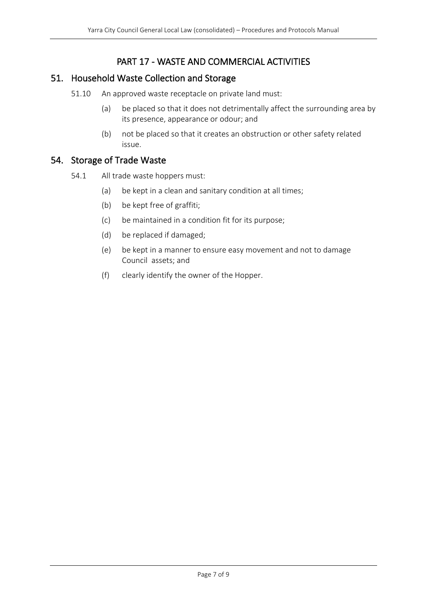# PART 17 - WASTE AND COMMERCIAL ACTIVITIES

#### <span id="page-6-1"></span><span id="page-6-0"></span>51. Household Waste Collection and Storage

- 51.10 An approved waste receptacle on private land must:
	- (a) be placed so that it does not detrimentally affect the surrounding area by its presence, appearance or odour; and
	- (b) not be placed so that it creates an obstruction or other safety related issue.

#### <span id="page-6-2"></span>54. Storage of Trade Waste

- 54.1 All trade waste hoppers must:
	- (a) be kept in a clean and sanitary condition at all times;
	- (b) be kept free of graffiti;
	- (c) be maintained in a condition fit for its purpose;
	- (d) be replaced if damaged;
	- (e) be kept in a manner to ensure easy movement and not to damage Council assets; and
	- (f) clearly identify the owner of the Hopper.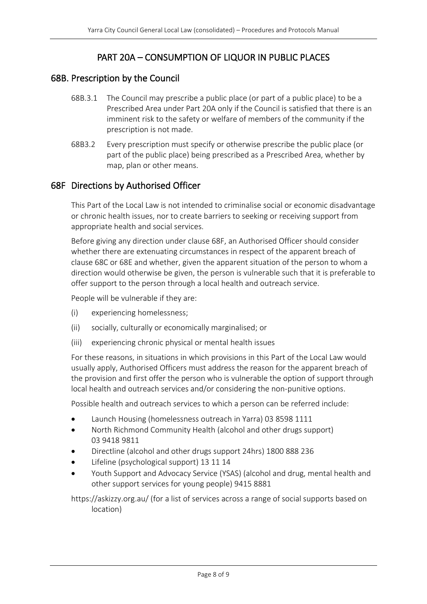# PART 20A – CONSUMPTION OF LIQUOR IN PUBLIC PLACES

#### <span id="page-7-1"></span><span id="page-7-0"></span>68B. Prescription by the Council

- 68B.3.1 The Council may prescribe a public place (or part of a public place) to be a Prescribed Area under Part 20A only if the Council is satisfied that there is an imminent risk to the safety or welfare of members of the community if the prescription is not made.
- 68B3.2 Every prescription must specify or otherwise prescribe the public place (or part of the public place) being prescribed as a Prescribed Area, whether by map, plan or other means.

#### <span id="page-7-2"></span>68F Directions by Authorised Officer

This Part of the Local Law is not intended to criminalise social or economic disadvantage or chronic health issues, nor to create barriers to seeking or receiving support from appropriate health and social services.

Before giving any direction under clause 68F, an Authorised Officer should consider whether there are extenuating circumstances in respect of the apparent breach of clause 68C or 68E and whether, given the apparent situation of the person to whom a direction would otherwise be given, the person is vulnerable such that it is preferable to offer support to the person through a local health and outreach service.

People will be vulnerable if they are:

- (i) experiencing homelessness;
- (ii) socially, culturally or economically marginalised; or
- (iii) experiencing chronic physical or mental health issues

For these reasons, in situations in which provisions in this Part of the Local Law would usually apply, Authorised Officers must address the reason for the apparent breach of the provision and first offer the person who is vulnerable the option of support through local health and outreach services and/or considering the non-punitive options.

Possible health and outreach services to which a person can be referred include:

- Launch Housing (homelessness outreach in Yarra) 03 8598 1111
- North Richmond Community Health (alcohol and other drugs support) 03 9418 9811
- Directline (alcohol and other drugs support 24hrs) 1800 888 236
- Lifeline (psychological support) 13 11 14
- Youth Support and Advocacy Service (YSAS) (alcohol and drug, mental health and other support services for young people) 9415 8881

https://askizzy.org.au/ (for a list of services across a range of social supports based on location)